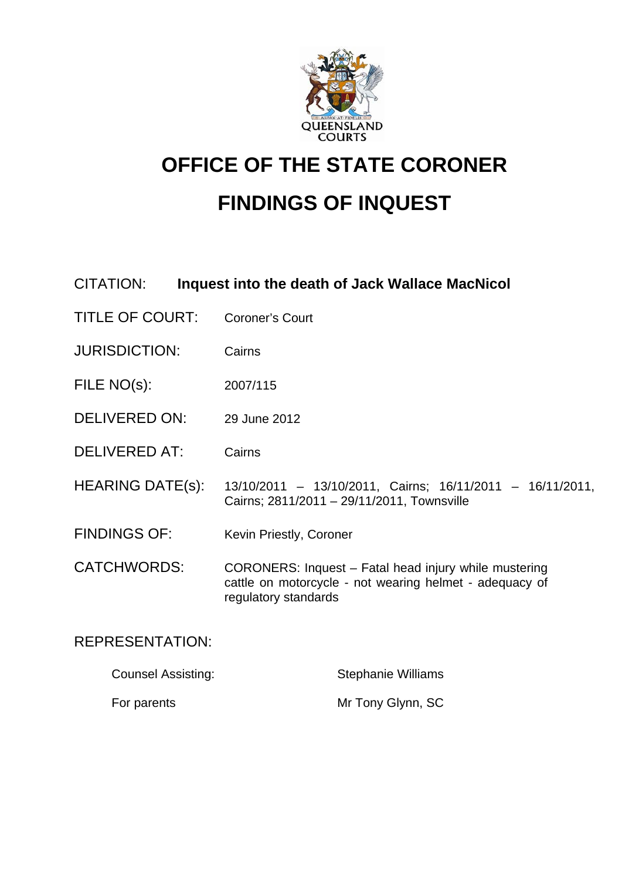

# **OFFICE OF THE STATE CORONER FINDINGS OF INQUEST**

# CITATION: **Inquest into the death of Jack Wallace MacNicol**

- TITLE OF COURT: Coroner's Court
- JURISDICTION: Cairns
- FILE NO(s): 2007/115
- DELIVERED ON: 29 June 2012
- DELIVERED AT: Cairns
- HEARING DATE(s): 13/10/2011 13/10/2011, Cairns; 16/11/2011 16/11/2011, Cairns; 2811/2011 – 29/11/2011, Townsville
- FINDINGS OF: Kevin Priestly, Coroner

CATCHWORDS: CORONERS: Inquest – Fatal head injury while mustering cattle on motorcycle - not wearing helmet - adequacy of regulatory standards

# REPRESENTATION:

| <b>Counsel Assisting:</b> | <b>Stephanie Williams</b> |
|---------------------------|---------------------------|
| For parents               | Mr Tony Glynn, SC         |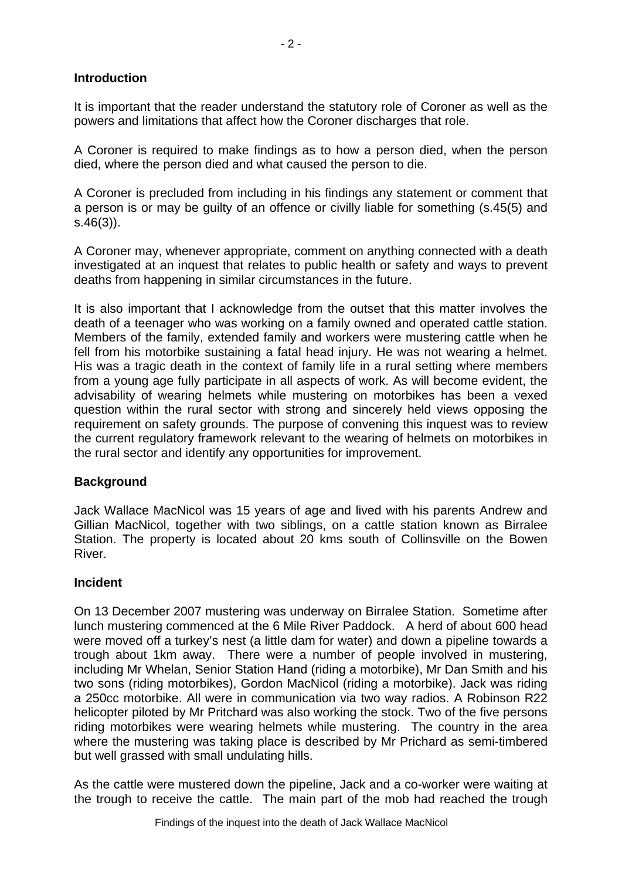## **Introduction**

It is important that the reader understand the statutory role of Coroner as well as the powers and limitations that affect how the Coroner discharges that role.

A Coroner is required to make findings as to how a person died, when the person died, where the person died and what caused the person to die.

A Coroner is precluded from including in his findings any statement or comment that a person is or may be guilty of an offence or civilly liable for something (s.45(5) and s.46(3)).

A Coroner may, whenever appropriate, comment on anything connected with a death investigated at an inquest that relates to public health or safety and ways to prevent deaths from happening in similar circumstances in the future.

It is also important that I acknowledge from the outset that this matter involves the death of a teenager who was working on a family owned and operated cattle station. Members of the family, extended family and workers were mustering cattle when he fell from his motorbike sustaining a fatal head injury. He was not wearing a helmet. His was a tragic death in the context of family life in a rural setting where members from a young age fully participate in all aspects of work. As will become evident, the advisability of wearing helmets while mustering on motorbikes has been a vexed question within the rural sector with strong and sincerely held views opposing the requirement on safety grounds. The purpose of convening this inquest was to review the current regulatory framework relevant to the wearing of helmets on motorbikes in the rural sector and identify any opportunities for improvement.

### **Background**

Jack Wallace MacNicol was 15 years of age and lived with his parents Andrew and Gillian MacNicol, together with two siblings, on a cattle station known as Birralee Station. The property is located about 20 kms south of Collinsville on the Bowen River.

### **Incident**

On 13 December 2007 mustering was underway on Birralee Station. Sometime after lunch mustering commenced at the 6 Mile River Paddock. A herd of about 600 head were moved off a turkey's nest (a little dam for water) and down a pipeline towards a trough about 1km away. There were a number of people involved in mustering, including Mr Whelan, Senior Station Hand (riding a motorbike), Mr Dan Smith and his two sons (riding motorbikes), Gordon MacNicol (riding a motorbike). Jack was riding a 250cc motorbike. All were in communication via two way radios. A Robinson R22 helicopter piloted by Mr Pritchard was also working the stock. Two of the five persons riding motorbikes were wearing helmets while mustering. The country in the area where the mustering was taking place is described by Mr Prichard as semi-timbered but well grassed with small undulating hills.

As the cattle were mustered down the pipeline, Jack and a co-worker were waiting at the trough to receive the cattle. The main part of the mob had reached the trough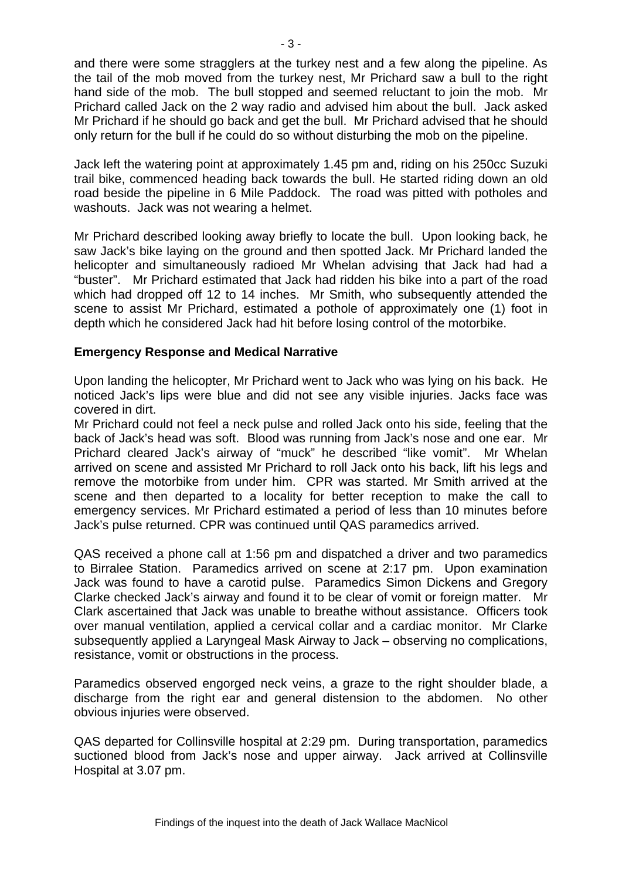and there were some stragglers at the turkey nest and a few along the pipeline. As the tail of the mob moved from the turkey nest, Mr Prichard saw a bull to the right hand side of the mob. The bull stopped and seemed reluctant to join the mob. Mr Prichard called Jack on the 2 way radio and advised him about the bull. Jack asked Mr Prichard if he should go back and get the bull. Mr Prichard advised that he should only return for the bull if he could do so without disturbing the mob on the pipeline.

Jack left the watering point at approximately 1.45 pm and, riding on his 250cc Suzuki trail bike, commenced heading back towards the bull. He started riding down an old road beside the pipeline in 6 Mile Paddock. The road was pitted with potholes and washouts. Jack was not wearing a helmet.

Mr Prichard described looking away briefly to locate the bull. Upon looking back, he saw Jack's bike laying on the ground and then spotted Jack. Mr Prichard landed the helicopter and simultaneously radioed Mr Whelan advising that Jack had had a "buster". Mr Prichard estimated that Jack had ridden his bike into a part of the road which had dropped off 12 to 14 inches. Mr Smith, who subsequently attended the scene to assist Mr Prichard, estimated a pothole of approximately one (1) foot in depth which he considered Jack had hit before losing control of the motorbike.

### **Emergency Response and Medical Narrative**

Upon landing the helicopter, Mr Prichard went to Jack who was lying on his back. He noticed Jack's lips were blue and did not see any visible injuries. Jacks face was covered in dirt.

Mr Prichard could not feel a neck pulse and rolled Jack onto his side, feeling that the back of Jack's head was soft. Blood was running from Jack's nose and one ear. Mr Prichard cleared Jack's airway of "muck" he described "like vomit". Mr Whelan arrived on scene and assisted Mr Prichard to roll Jack onto his back, lift his legs and remove the motorbike from under him. CPR was started. Mr Smith arrived at the scene and then departed to a locality for better reception to make the call to emergency services. Mr Prichard estimated a period of less than 10 minutes before Jack's pulse returned. CPR was continued until QAS paramedics arrived.

QAS received a phone call at 1:56 pm and dispatched a driver and two paramedics to Birralee Station. Paramedics arrived on scene at 2:17 pm. Upon examination Jack was found to have a carotid pulse. Paramedics Simon Dickens and Gregory Clarke checked Jack's airway and found it to be clear of vomit or foreign matter. Mr Clark ascertained that Jack was unable to breathe without assistance. Officers took over manual ventilation, applied a cervical collar and a cardiac monitor. Mr Clarke subsequently applied a Laryngeal Mask Airway to Jack – observing no complications, resistance, vomit or obstructions in the process.

Paramedics observed engorged neck veins, a graze to the right shoulder blade, a discharge from the right ear and general distension to the abdomen. No other obvious injuries were observed.

QAS departed for Collinsville hospital at 2:29 pm. During transportation, paramedics suctioned blood from Jack's nose and upper airway. Jack arrived at Collinsville Hospital at 3.07 pm.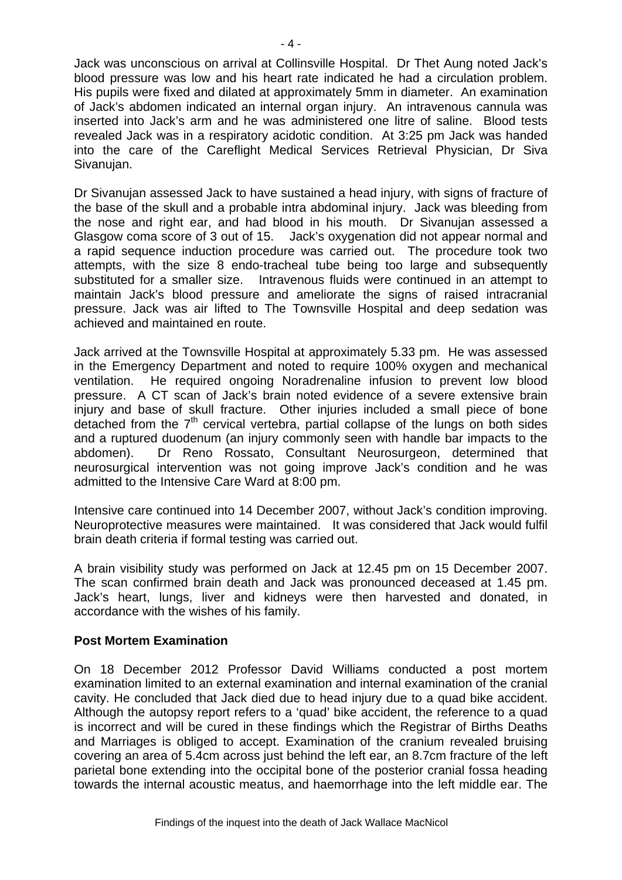Jack was unconscious on arrival at Collinsville Hospital. Dr Thet Aung noted Jack's blood pressure was low and his heart rate indicated he had a circulation problem. His pupils were fixed and dilated at approximately 5mm in diameter. An examination of Jack's abdomen indicated an internal organ injury. An intravenous cannula was inserted into Jack's arm and he was administered one litre of saline. Blood tests revealed Jack was in a respiratory acidotic condition. At 3:25 pm Jack was handed into the care of the Careflight Medical Services Retrieval Physician, Dr Siva Sivanujan.

Dr Sivanujan assessed Jack to have sustained a head injury, with signs of fracture of the base of the skull and a probable intra abdominal injury. Jack was bleeding from the nose and right ear, and had blood in his mouth. Dr Sivanujan assessed a Glasgow coma score of 3 out of 15. Jack's oxygenation did not appear normal and a rapid sequence induction procedure was carried out. The procedure took two attempts, with the size 8 endo-tracheal tube being too large and subsequently substituted for a smaller size. Intravenous fluids were continued in an attempt to maintain Jack's blood pressure and ameliorate the signs of raised intracranial pressure. Jack was air lifted to The Townsville Hospital and deep sedation was achieved and maintained en route.

Jack arrived at the Townsville Hospital at approximately 5.33 pm. He was assessed in the Emergency Department and noted to require 100% oxygen and mechanical ventilation. He required ongoing Noradrenaline infusion to prevent low blood pressure. A CT scan of Jack's brain noted evidence of a severe extensive brain injury and base of skull fracture. Other injuries included a small piece of bone detached from the  $7<sup>th</sup>$  cervical vertebra, partial collapse of the lungs on both sides and a ruptured duodenum (an injury commonly seen with handle bar impacts to the abdomen). Dr Reno Rossato, Consultant Neurosurgeon, determined that neurosurgical intervention was not going improve Jack's condition and he was admitted to the Intensive Care Ward at 8:00 pm.

Intensive care continued into 14 December 2007, without Jack's condition improving. Neuroprotective measures were maintained. It was considered that Jack would fulfil brain death criteria if formal testing was carried out.

A brain visibility study was performed on Jack at 12.45 pm on 15 December 2007. The scan confirmed brain death and Jack was pronounced deceased at 1.45 pm. Jack's heart, lungs, liver and kidneys were then harvested and donated, in accordance with the wishes of his family.

### **Post Mortem Examination**

On 18 December 2012 Professor David Williams conducted a post mortem examination limited to an external examination and internal examination of the cranial cavity. He concluded that Jack died due to head injury due to a quad bike accident. Although the autopsy report refers to a 'quad' bike accident, the reference to a quad is incorrect and will be cured in these findings which the Registrar of Births Deaths and Marriages is obliged to accept. Examination of the cranium revealed bruising covering an area of 5.4cm across just behind the left ear, an 8.7cm fracture of the left parietal bone extending into the occipital bone of the posterior cranial fossa heading towards the internal acoustic meatus, and haemorrhage into the left middle ear. The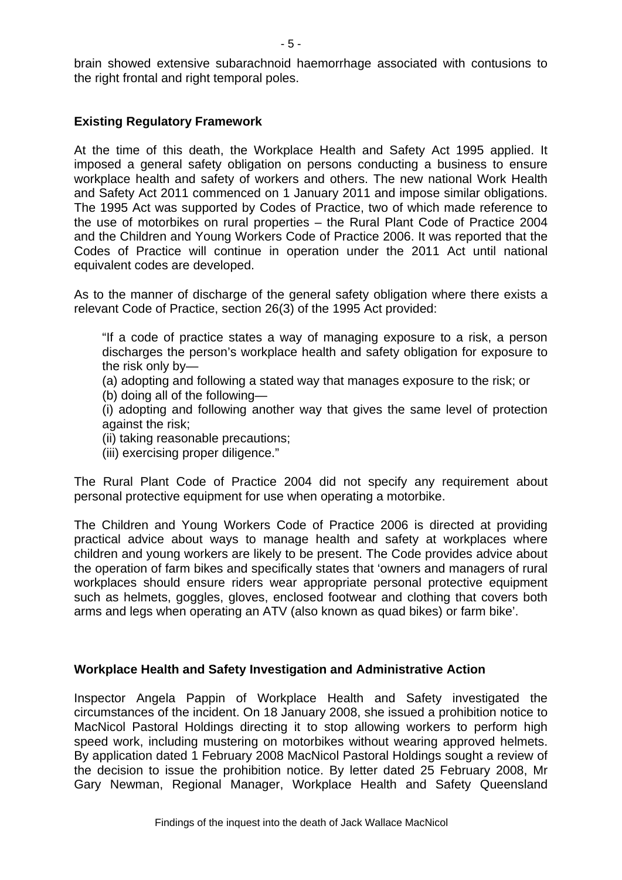brain showed extensive subarachnoid haemorrhage associated with contusions to the right frontal and right temporal poles.

#### **Existing Regulatory Framework**

At the time of this death, the Workplace Health and Safety Act 1995 applied. It imposed a general safety obligation on persons conducting a business to ensure workplace health and safety of workers and others. The new national Work Health and Safety Act 2011 commenced on 1 January 2011 and impose similar obligations. The 1995 Act was supported by Codes of Practice, two of which made reference to the use of motorbikes on rural properties – the Rural Plant Code of Practice 2004 and the Children and Young Workers Code of Practice 2006. It was reported that the Codes of Practice will continue in operation under the 2011 Act until national equivalent codes are developed.

As to the manner of discharge of the general safety obligation where there exists a relevant Code of Practice, section 26(3) of the 1995 Act provided:

"If a code of practice states a way of managing exposure to a risk, a person discharges the person's workplace health and safety obligation for exposure to the risk only by—

(a) adopting and following a stated way that manages exposure to the risk; or

(b) doing all of the following—

(i) adopting and following another way that gives the same level of protection against the risk;

- (ii) taking reasonable precautions;
- (iii) exercising proper diligence."

The Rural Plant Code of Practice 2004 did not specify any requirement about personal protective equipment for use when operating a motorbike.

The Children and Young Workers Code of Practice 2006 is directed at providing practical advice about ways to manage health and safety at workplaces where children and young workers are likely to be present. The Code provides advice about the operation of farm bikes and specifically states that 'owners and managers of rural workplaces should ensure riders wear appropriate personal protective equipment such as helmets, goggles, gloves, enclosed footwear and clothing that covers both arms and legs when operating an ATV (also known as quad bikes) or farm bike'.

#### **Workplace Health and Safety Investigation and Administrative Action**

Inspector Angela Pappin of Workplace Health and Safety investigated the circumstances of the incident. On 18 January 2008, she issued a prohibition notice to MacNicol Pastoral Holdings directing it to stop allowing workers to perform high speed work, including mustering on motorbikes without wearing approved helmets. By application dated 1 February 2008 MacNicol Pastoral Holdings sought a review of the decision to issue the prohibition notice. By letter dated 25 February 2008, Mr Gary Newman, Regional Manager, Workplace Health and Safety Queensland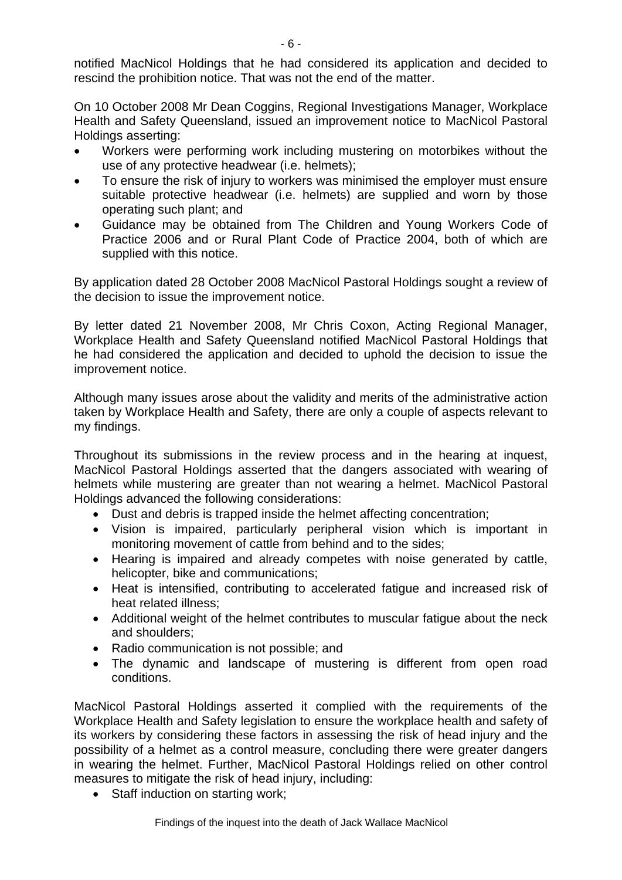On 10 October 2008 Mr Dean Coggins, Regional Investigations Manager, Workplace Health and Safety Queensland, issued an improvement notice to MacNicol Pastoral Holdings asserting:

- Workers were performing work including mustering on motorbikes without the use of any protective headwear (i.e. helmets);
- To ensure the risk of injury to workers was minimised the employer must ensure suitable protective headwear (i.e. helmets) are supplied and worn by those operating such plant; and
- Guidance may be obtained from The Children and Young Workers Code of Practice 2006 and or Rural Plant Code of Practice 2004, both of which are supplied with this notice.

By application dated 28 October 2008 MacNicol Pastoral Holdings sought a review of the decision to issue the improvement notice.

By letter dated 21 November 2008, Mr Chris Coxon, Acting Regional Manager, Workplace Health and Safety Queensland notified MacNicol Pastoral Holdings that he had considered the application and decided to uphold the decision to issue the improvement notice.

Although many issues arose about the validity and merits of the administrative action taken by Workplace Health and Safety, there are only a couple of aspects relevant to my findings.

Throughout its submissions in the review process and in the hearing at inquest, MacNicol Pastoral Holdings asserted that the dangers associated with wearing of helmets while mustering are greater than not wearing a helmet. MacNicol Pastoral Holdings advanced the following considerations:

- Dust and debris is trapped inside the helmet affecting concentration;
- Vision is impaired, particularly peripheral vision which is important in monitoring movement of cattle from behind and to the sides;
- Hearing is impaired and already competes with noise generated by cattle, helicopter, bike and communications;
- Heat is intensified, contributing to accelerated fatigue and increased risk of heat related illness;
- Additional weight of the helmet contributes to muscular fatigue about the neck and shoulders;
- Radio communication is not possible; and
- The dynamic and landscape of mustering is different from open road conditions.

MacNicol Pastoral Holdings asserted it complied with the requirements of the Workplace Health and Safety legislation to ensure the workplace health and safety of its workers by considering these factors in assessing the risk of head injury and the possibility of a helmet as a control measure, concluding there were greater dangers in wearing the helmet. Further, MacNicol Pastoral Holdings relied on other control measures to mitigate the risk of head injury, including:

• Staff induction on starting work;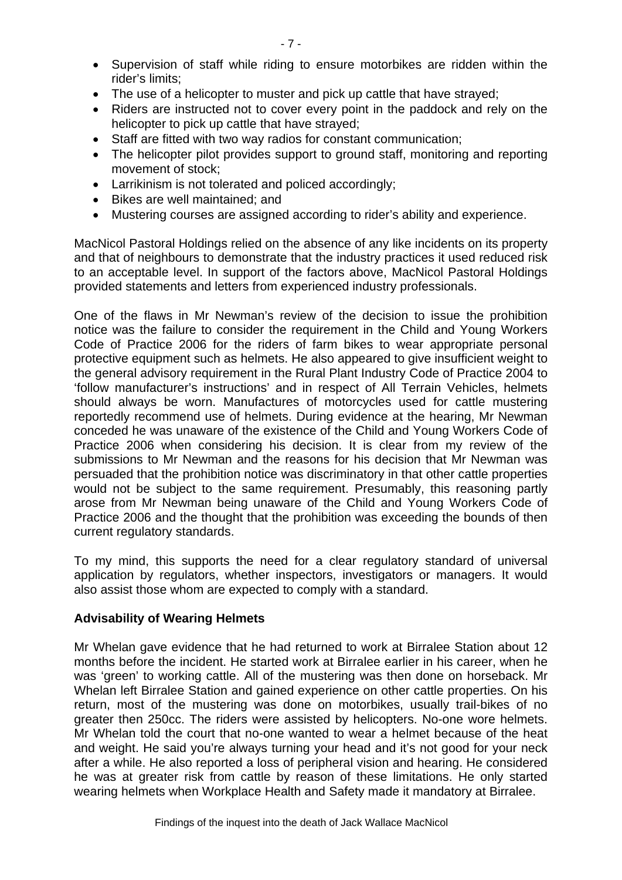- Supervision of staff while riding to ensure motorbikes are ridden within the rider's limits;
- The use of a helicopter to muster and pick up cattle that have strayed;
- Riders are instructed not to cover every point in the paddock and rely on the helicopter to pick up cattle that have strayed;
- Staff are fitted with two way radios for constant communication;
- The helicopter pilot provides support to ground staff, monitoring and reporting movement of stock;
- Larrikinism is not tolerated and policed accordingly;
- Bikes are well maintained; and
- Mustering courses are assigned according to rider's ability and experience.

MacNicol Pastoral Holdings relied on the absence of any like incidents on its property and that of neighbours to demonstrate that the industry practices it used reduced risk to an acceptable level. In support of the factors above, MacNicol Pastoral Holdings provided statements and letters from experienced industry professionals.

One of the flaws in Mr Newman's review of the decision to issue the prohibition notice was the failure to consider the requirement in the Child and Young Workers Code of Practice 2006 for the riders of farm bikes to wear appropriate personal protective equipment such as helmets. He also appeared to give insufficient weight to the general advisory requirement in the Rural Plant Industry Code of Practice 2004 to 'follow manufacturer's instructions' and in respect of All Terrain Vehicles, helmets should always be worn. Manufactures of motorcycles used for cattle mustering reportedly recommend use of helmets. During evidence at the hearing, Mr Newman conceded he was unaware of the existence of the Child and Young Workers Code of Practice 2006 when considering his decision. It is clear from my review of the submissions to Mr Newman and the reasons for his decision that Mr Newman was persuaded that the prohibition notice was discriminatory in that other cattle properties would not be subject to the same requirement. Presumably, this reasoning partly arose from Mr Newman being unaware of the Child and Young Workers Code of Practice 2006 and the thought that the prohibition was exceeding the bounds of then current regulatory standards.

To my mind, this supports the need for a clear regulatory standard of universal application by regulators, whether inspectors, investigators or managers. It would also assist those whom are expected to comply with a standard.

### **Advisability of Wearing Helmets**

Mr Whelan gave evidence that he had returned to work at Birralee Station about 12 months before the incident. He started work at Birralee earlier in his career, when he was 'green' to working cattle. All of the mustering was then done on horseback. Mr Whelan left Birralee Station and gained experience on other cattle properties. On his return, most of the mustering was done on motorbikes, usually trail-bikes of no greater then 250cc. The riders were assisted by helicopters. No-one wore helmets. Mr Whelan told the court that no-one wanted to wear a helmet because of the heat and weight. He said you're always turning your head and it's not good for your neck after a while. He also reported a loss of peripheral vision and hearing. He considered he was at greater risk from cattle by reason of these limitations. He only started wearing helmets when Workplace Health and Safety made it mandatory at Birralee.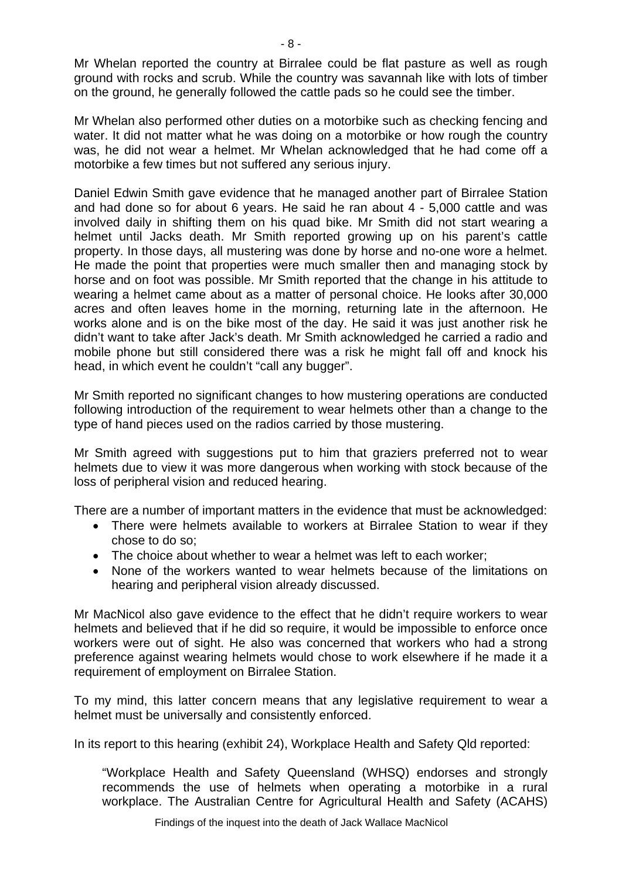Mr Whelan reported the country at Birralee could be flat pasture as well as rough ground with rocks and scrub. While the country was savannah like with lots of timber on the ground, he generally followed the cattle pads so he could see the timber.

Mr Whelan also performed other duties on a motorbike such as checking fencing and water. It did not matter what he was doing on a motorbike or how rough the country was, he did not wear a helmet. Mr Whelan acknowledged that he had come off a motorbike a few times but not suffered any serious injury.

Daniel Edwin Smith gave evidence that he managed another part of Birralee Station and had done so for about 6 years. He said he ran about 4 - 5,000 cattle and was involved daily in shifting them on his quad bike. Mr Smith did not start wearing a helmet until Jacks death. Mr Smith reported growing up on his parent's cattle property. In those days, all mustering was done by horse and no-one wore a helmet. He made the point that properties were much smaller then and managing stock by horse and on foot was possible. Mr Smith reported that the change in his attitude to wearing a helmet came about as a matter of personal choice. He looks after 30,000 acres and often leaves home in the morning, returning late in the afternoon. He works alone and is on the bike most of the day. He said it was just another risk he didn't want to take after Jack's death. Mr Smith acknowledged he carried a radio and mobile phone but still considered there was a risk he might fall off and knock his head, in which event he couldn't "call any bugger".

Mr Smith reported no significant changes to how mustering operations are conducted following introduction of the requirement to wear helmets other than a change to the type of hand pieces used on the radios carried by those mustering.

Mr Smith agreed with suggestions put to him that graziers preferred not to wear helmets due to view it was more dangerous when working with stock because of the loss of peripheral vision and reduced hearing.

There are a number of important matters in the evidence that must be acknowledged:

- There were helmets available to workers at Birralee Station to wear if they chose to do so;
- The choice about whether to wear a helmet was left to each worker:
- None of the workers wanted to wear helmets because of the limitations on hearing and peripheral vision already discussed.

Mr MacNicol also gave evidence to the effect that he didn't require workers to wear helmets and believed that if he did so require, it would be impossible to enforce once workers were out of sight. He also was concerned that workers who had a strong preference against wearing helmets would chose to work elsewhere if he made it a requirement of employment on Birralee Station.

To my mind, this latter concern means that any legislative requirement to wear a helmet must be universally and consistently enforced.

In its report to this hearing (exhibit 24), Workplace Health and Safety Qld reported:

"Workplace Health and Safety Queensland (WHSQ) endorses and strongly recommends the use of helmets when operating a motorbike in a rural workplace. The Australian Centre for Agricultural Health and Safety (ACAHS)